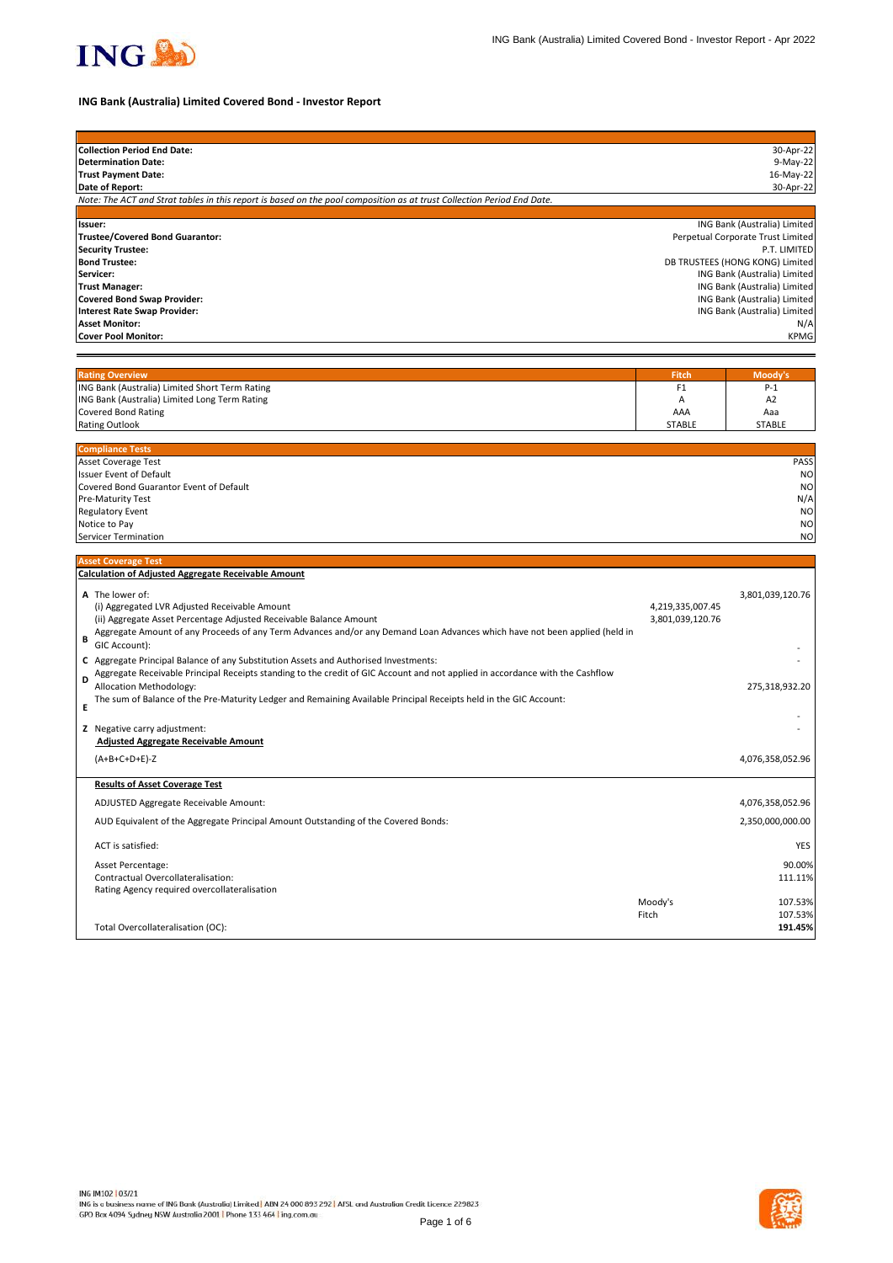

# **ING Bank (Australia) Limited Covered Bond - Investor Report**

| <b>Collection Period End Date:</b>                                                                                                 |                  | 30-Apr-22                                                       |
|------------------------------------------------------------------------------------------------------------------------------------|------------------|-----------------------------------------------------------------|
| <b>Determination Date:</b>                                                                                                         |                  | 9-May-22                                                        |
| <b>Trust Payment Date:</b><br>Date of Report:                                                                                      |                  | 16-May-22<br>30-Apr-22                                          |
| Note: The ACT and Strat tables in this report is based on the pool composition as at trust Collection Period End Date.             |                  |                                                                 |
|                                                                                                                                    |                  |                                                                 |
| Issuer:                                                                                                                            |                  | ING Bank (Australia) Limited                                    |
| Trustee/Covered Bond Guarantor:                                                                                                    |                  | Perpetual Corporate Trust Limited                               |
| <b>Security Trustee:</b>                                                                                                           |                  | P.T. LIMITED                                                    |
| <b>Bond Trustee:</b><br>Servicer:                                                                                                  |                  | DB TRUSTEES (HONG KONG) Limited<br>ING Bank (Australia) Limited |
| <b>Trust Manager:</b>                                                                                                              |                  | ING Bank (Australia) Limited                                    |
| <b>Covered Bond Swap Provider:</b>                                                                                                 |                  | ING Bank (Australia) Limited                                    |
| <b>Interest Rate Swap Provider:</b>                                                                                                |                  | ING Bank (Australia) Limited                                    |
| <b>Asset Monitor:</b>                                                                                                              |                  | N/A                                                             |
| <b>Cover Pool Monitor:</b>                                                                                                         |                  | <b>KPMG</b>                                                     |
|                                                                                                                                    |                  |                                                                 |
| <b>Rating Overview</b>                                                                                                             | <b>Fitch</b>     | Moody's                                                         |
| ING Bank (Australia) Limited Short Term Rating                                                                                     | F1               | $P-1$                                                           |
| ING Bank (Australia) Limited Long Term Rating                                                                                      | Α                | A <sub>2</sub>                                                  |
| <b>Covered Bond Rating</b>                                                                                                         | AAA              | Aaa                                                             |
| <b>Rating Outlook</b>                                                                                                              | <b>STABLE</b>    | <b>STABLE</b>                                                   |
|                                                                                                                                    |                  |                                                                 |
| <b>Compliance Tests</b><br>Asset Coverage Test                                                                                     |                  | PASS                                                            |
| <b>Issuer Event of Default</b>                                                                                                     |                  | N <sub>O</sub>                                                  |
| Covered Bond Guarantor Event of Default                                                                                            |                  | N <sub>O</sub>                                                  |
| Pre-Maturity Test                                                                                                                  |                  | N/A                                                             |
| <b>Regulatory Event</b>                                                                                                            |                  | <b>NO</b>                                                       |
| Notice to Pay                                                                                                                      |                  | N <sub>O</sub>                                                  |
| Servicer Termination                                                                                                               |                  | <b>NO</b>                                                       |
| <b>Asset Coverage Test</b>                                                                                                         |                  |                                                                 |
| <b>Calculation of Adjusted Aggregate Receivable Amount</b>                                                                         |                  |                                                                 |
|                                                                                                                                    |                  |                                                                 |
| A The lower of:<br>(i) Aggregated LVR Adjusted Receivable Amount                                                                   | 4,219,335,007.45 | 3,801,039,120.76                                                |
| (ii) Aggregate Asset Percentage Adjusted Receivable Balance Amount                                                                 | 3,801,039,120.76 |                                                                 |
| Aggregate Amount of any Proceeds of any Term Advances and/or any Demand Loan Advances which have not been applied (held in         |                  |                                                                 |
| В<br>GIC Account):                                                                                                                 |                  |                                                                 |
| C Aggregate Principal Balance of any Substitution Assets and Authorised Investments:                                               |                  |                                                                 |
| Aggregate Receivable Principal Receipts standing to the credit of GIC Account and not applied in accordance with the Cashflow<br>D |                  |                                                                 |
| Allocation Methodology:                                                                                                            |                  | 275,318,932.20                                                  |
| The sum of Balance of the Pre-Maturity Ledger and Remaining Available Principal Receipts held in the GIC Account:<br>E             |                  |                                                                 |
|                                                                                                                                    |                  |                                                                 |
| Z Negative carry adjustment:                                                                                                       |                  |                                                                 |
| <b>Adjusted Aggregate Receivable Amount</b>                                                                                        |                  |                                                                 |
| $(A+B+C+D+E)-Z$                                                                                                                    |                  | 4,076,358,052.96                                                |
|                                                                                                                                    |                  |                                                                 |
| <b>Results of Asset Coverage Test</b>                                                                                              |                  |                                                                 |
| ADJUSTED Aggregate Receivable Amount:                                                                                              |                  | 4,076,358,052.96                                                |
| AUD Equivalent of the Aggregate Principal Amount Outstanding of the Covered Bonds:                                                 |                  | 2,350,000,000.00                                                |
| ACT is satisfied:                                                                                                                  |                  | YES                                                             |
| Asset Percentage:                                                                                                                  |                  | 90.00%                                                          |
| Contractual Overcollateralisation:                                                                                                 |                  | 111.11%                                                         |
| Rating Agency required overcollateralisation                                                                                       |                  |                                                                 |
|                                                                                                                                    | Moody's          | 107.53%                                                         |
|                                                                                                                                    | Fitch            | 107.53%                                                         |
| Total Overcollateralisation (OC):                                                                                                  |                  | 191.45%                                                         |

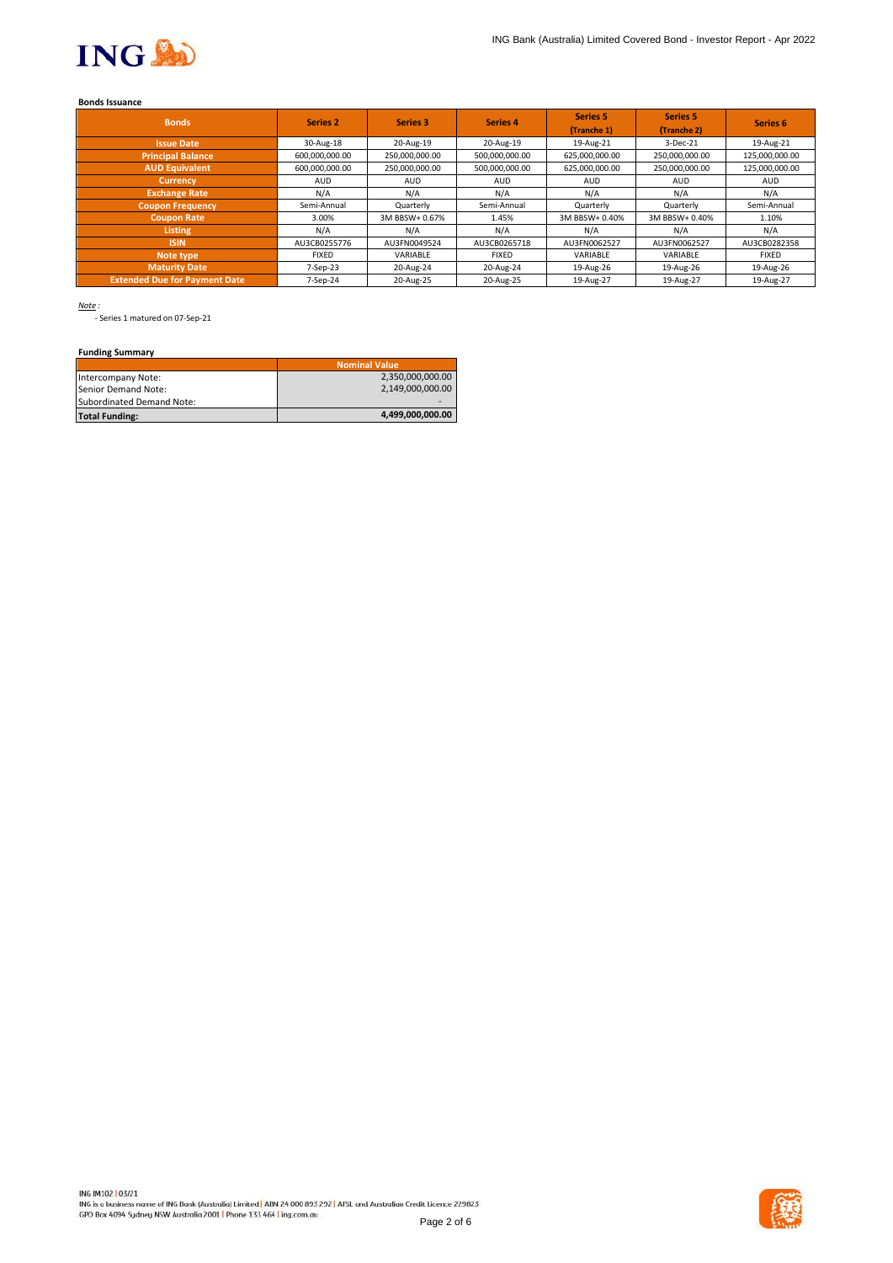

### **Bonds Issuance**

| <b>Bonds</b>                         | <b>Series 2</b> | Series 3       | Series 4       | <b>Series 5</b><br>(Tranche 1) | <b>Series 5</b><br>(Tranche 2) | Series <sub>6</sub> |
|--------------------------------------|-----------------|----------------|----------------|--------------------------------|--------------------------------|---------------------|
| <b>Issue Date</b>                    | 30-Aug-18       | 20-Aug-19      | 20-Aug-19      | 19-Aug-21                      | 3-Dec-21                       | 19-Aug-21           |
| <b>Principal Balance</b>             | 600,000,000.00  | 250,000,000.00 | 500,000,000.00 | 625,000,000.00                 | 250,000,000.00                 | 125,000,000.00      |
| <b>AUD Equivalent</b>                | 600,000,000.00  | 250,000,000.00 | 500,000,000.00 | 625,000,000.00                 | 250,000,000.00                 | 125,000,000.00      |
| <b>Currency</b>                      | <b>AUD</b>      | <b>AUD</b>     | <b>AUD</b>     | <b>AUD</b>                     | <b>AUD</b>                     | <b>AUD</b>          |
| <b>Exchange Rate</b>                 | N/A             | N/A            | N/A            | N/A                            | N/A                            | N/A                 |
| <b>Coupon Frequency</b>              | Semi-Annual     | Quarterly      | Semi-Annual    | Quarterly                      | Quarterly                      | Semi-Annual         |
| <b>Coupon Rate</b>                   | 3.00%           | 3M BBSW+ 0.67% | 1.45%          | 3M BBSW+ 0.40%                 | 3M BBSW+ 0.40%                 | 1.10%               |
| <b>Listing</b>                       | N/A             | N/A            | N/A            | N/A                            | N/A                            | N/A                 |
| <b>ISIN</b>                          | AU3CB0255776    | AU3FN0049524   | AU3CB0265718   | AU3FN0062527                   | AU3FN0062527                   | AU3CB0282358        |
| Note type                            | <b>FIXED</b>    | VARIABLE       | <b>FIXED</b>   | VARIABLE                       | VARIABLE                       | <b>FIXED</b>        |
| <b>Maturity Date</b>                 | 7-Sep-23        | 20-Aug-24      | 20-Aug-24      | 19-Aug-26                      | 19-Aug-26                      | 19-Aug-26           |
| <b>Extended Due for Payment Date</b> | 7-Sep-24        | 20-Aug-25      | 20-Aug-25      | 19-Aug-27                      | 19-Aug-27                      | 19-Aug-27           |

*Note :*

- Series 1 matured on 07-Sep-21

# **Funding Summary**

|                           | <b>Nominal Value</b> |
|---------------------------|----------------------|
| Intercompany Note:        | 2,350,000,000.00     |
| Senior Demand Note:       | 2.149.000.000.00     |
| Subordinated Demand Note: |                      |
| <b>Total Funding:</b>     | 4,499,000,000.00     |

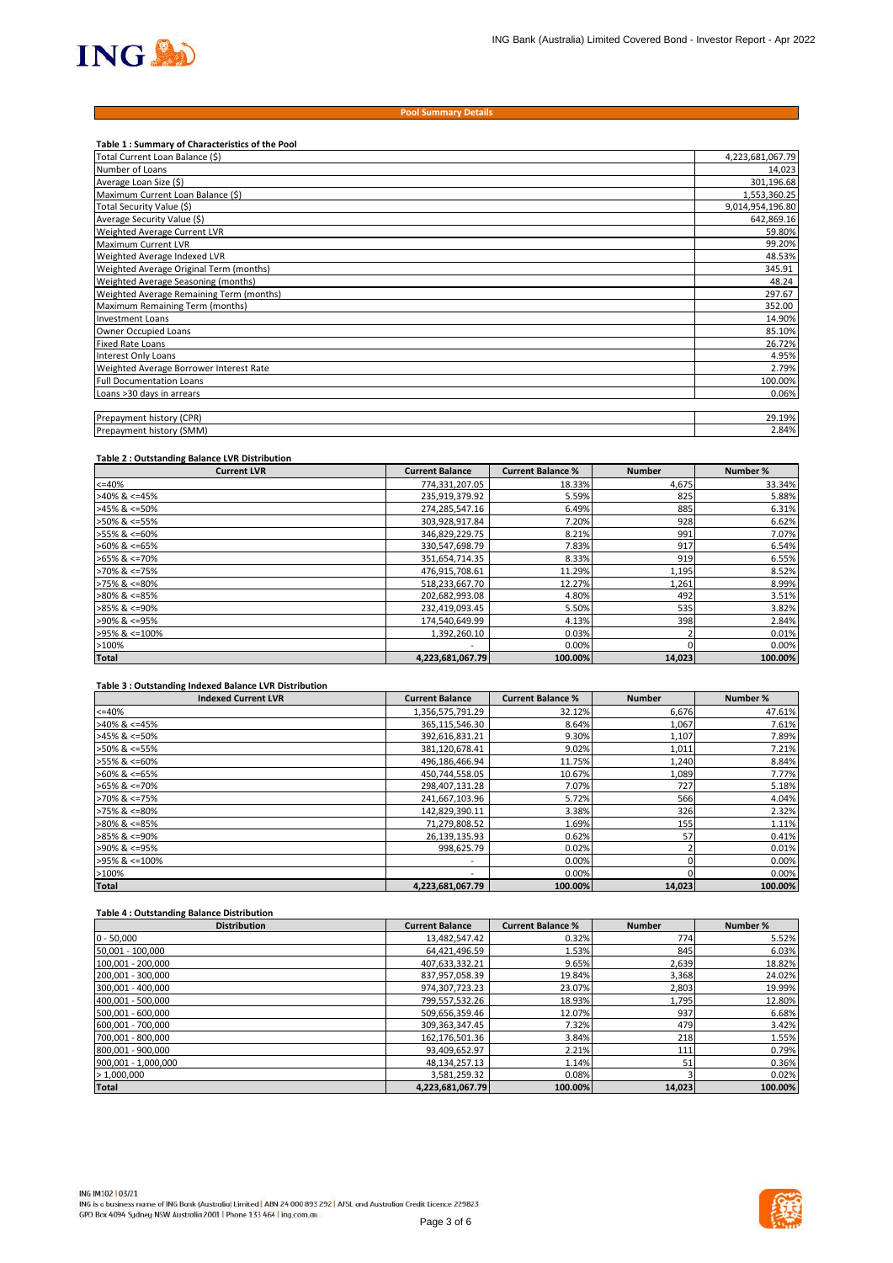

#### **Pool Summary Details**

| Table 1: Summary of Characteristics of the Pool |                  |
|-------------------------------------------------|------------------|
| Total Current Loan Balance (\$)                 | 4,223,681,067.79 |
| Number of Loans                                 | 14,023           |
| Average Loan Size (\$)                          | 301,196.68       |
| Maximum Current Loan Balance (\$)               | 1,553,360.25     |
| Total Security Value (\$)                       | 9,014,954,196.80 |
| Average Security Value (\$)                     | 642,869.16       |
| Weighted Average Current LVR                    | 59.80%           |
| Maximum Current LVR                             | 99.20%           |
| Weighted Average Indexed LVR                    | 48.53%           |
| Weighted Average Original Term (months)         | 345.91           |
| Weighted Average Seasoning (months)             | 48.24            |
| Weighted Average Remaining Term (months)        | 297.67           |
| Maximum Remaining Term (months)                 | 352.00           |
| <b>Investment Loans</b>                         | 14.90%           |
| Owner Occupied Loans                            | 85.10%           |
| <b>Fixed Rate Loans</b>                         | 26.72%           |
| <b>Interest Only Loans</b>                      | 4.95%            |
| Weighted Average Borrower Interest Rate         | 2.79%            |
| <b>Full Documentation Loans</b>                 | 100.00%          |
| Loans >30 days in arrears                       | 0.06%            |
|                                                 |                  |
| Prepayment history (CPR)                        | 29.19%           |
| Prepayment history (SMM)                        | 2.84%            |

#### **Table 2 : Outstanding Balance LVR Distribution**

| <b>Current LVR</b>    | <b>Current Balance</b>   | <b>Current Balance %</b> | <b>Number</b> | Number % |
|-----------------------|--------------------------|--------------------------|---------------|----------|
| $<=40%$               | 774,331,207.05           | 18.33%                   | 4,675         | 33.34%   |
| $>40\%$ & <=45%       | 235,919,379.92           | 5.59%                    | 825           | 5.88%    |
| $>45\%$ & <=50%       | 274,285,547.16           | 6.49%                    | 885           | 6.31%    |
| >50% & <=55%          | 303,928,917.84           | 7.20%                    | 928           | 6.62%    |
| >55% & <=60%          | 346,829,229.75           | 8.21%                    | 991           | 7.07%    |
| $>60\%$ & <=65%       | 330,547,698.79           | 7.83%                    | 917           | 6.54%    |
| $>65\%$ & $\leq$ 70%  | 351,654,714.35           | 8.33%                    | 919           | 6.55%    |
| $>70\%$ & $\leq 75\%$ | 476,915,708.61           | 11.29%                   | 1,195         | 8.52%    |
| $>75\%$ & $\leq 80\%$ | 518,233,667.70           | 12.27%                   | 1,261         | 8.99%    |
| $>80\%$ & <=85%       | 202,682,993.08           | 4.80%                    | 492           | 3.51%    |
| $>85\%$ & <=90%       | 232,419,093.45           | 5.50%                    | 535           | 3.82%    |
| >90% & <=95%          | 174,540,649.99           | 4.13%                    | 398           | 2.84%    |
| >95% & <=100%         | 1,392,260.10             | 0.03%                    |               | 0.01%    |
| >100%                 | $\overline{\phantom{a}}$ | 0.00%                    |               | 0.00%    |
| <b>Total</b>          | 4,223,681,067.79         | 100.00%                  | 14,023        | 100.00%  |

#### **Table 3 : Outstanding Indexed Balance LVR Distribution**

| <b>Indexed Current LVR</b> | <b>Current Balance</b>   | <b>Current Balance %</b> | <b>Number</b> | Number % |
|----------------------------|--------------------------|--------------------------|---------------|----------|
| $<=40%$                    | 1,356,575,791.29         | 32.12%                   | 6,676         | 47.61%   |
| $>40\%$ & <=45%            | 365,115,546.30           | 8.64%                    | 1,067         | 7.61%    |
| $>45\%$ & <=50%            | 392,616,831.21           | 9.30%                    | 1,107         | 7.89%    |
| $>50\%$ & <=55%            | 381,120,678.41           | 9.02%                    | 1,011         | 7.21%    |
| >55% & <=60%               | 496,186,466.94           | 11.75%                   | 1,240         | 8.84%    |
| $>60\%$ & <=65%            | 450,744,558.05           | 10.67%                   | 1,089         | 7.77%    |
| $>65\%$ & <=70%            | 298,407,131.28           | 7.07%                    | 727           | 5.18%    |
| >70% & <=75%               | 241,667,103.96           | 5.72%                    | 566           | 4.04%    |
| $>75\%$ & $\leq 80\%$      | 142,829,390.11           | 3.38%                    | 326           | 2.32%    |
| $>80\%$ & <=85%            | 71,279,808.52            | 1.69%                    | 155           | 1.11%    |
| $>85\%$ & <=90%            | 26,139,135.93            | 0.62%                    | 57            | 0.41%    |
| >90% & <=95%               | 998,625.79               | 0.02%                    |               | 0.01%    |
| >95% & <=100%              | $\overline{\phantom{a}}$ | 0.00%                    |               | 0.00%    |
| >100%                      | $\overline{\phantom{a}}$ | 0.00%                    |               | 0.00%    |
| <b>Total</b>               | 4,223,681,067.79         | 100.00%                  | 14,023        | 100.00%  |

### **Table 4 : Outstanding Balance Distribution**

| <b>Distribution</b> | <b>Current Balance</b> | <b>Current Balance %</b> | <b>Number</b> | Number % |
|---------------------|------------------------|--------------------------|---------------|----------|
| $0 - 50,000$        | 13,482,547.42          | 0.32%                    | 774           | 5.52%    |
| 50,001 - 100,000    | 64,421,496.59          | 1.53%                    | 845           | 6.03%    |
| 100,001 - 200,000   | 407,633,332.21         | 9.65%                    | 2,639         | 18.82%   |
| 200,001 - 300,000   | 837,957,058.39         | 19.84%                   | 3,368         | 24.02%   |
| 300,001 - 400,000   | 974,307,723.23         | 23.07%                   | 2,803         | 19.99%   |
| 400,001 - 500,000   | 799,557,532.26         | 18.93%                   | 1,795         | 12.80%   |
| 500,001 - 600,000   | 509,656,359.46         | 12.07%                   | 937           | 6.68%    |
| 600,001 - 700,000   | 309, 363, 347.45       | 7.32%                    | 479           | 3.42%    |
| 700,001 - 800,000   | 162,176,501.36         | 3.84%                    | 218           | 1.55%    |
| 800,001 - 900,000   | 93,409,652.97          | 2.21%                    | 111           | 0.79%    |
| 900,001 - 1,000,000 | 48,134,257.13          | 1.14%                    | 51            | 0.36%    |
| >1,000,000          | 3,581,259.32           | 0.08%                    |               | 0.02%    |
| <b>Total</b>        | 4,223,681,067.79       | 100.00%                  | 14,023        | 100.00%  |

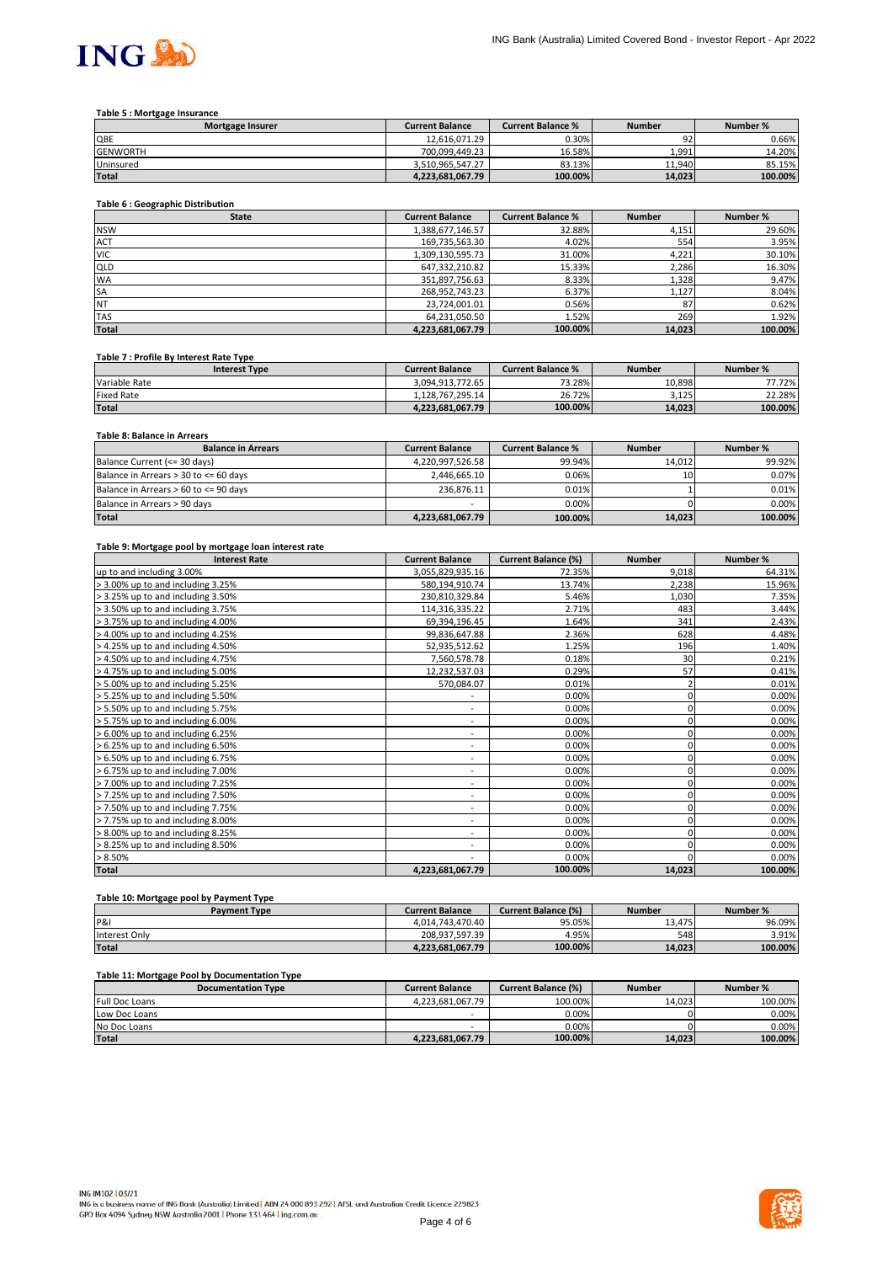

### **Table 5 : Mortgage Insurance**

| <b>Mortgage Insurer</b> | <b>Current Balance</b> | <b>Current Balance %</b> | <b>Number</b> | Number % |
|-------------------------|------------------------|--------------------------|---------------|----------|
| QBE                     | 12.616.071.29          | 0.30%                    | Q7.<br>∍∠     | 0.66%    |
| <b>GENWORTH</b>         | 700.099.449.23         | 16.58%                   | 1.991         | 14.20%   |
| Uninsured               | 3.510.965.547.27       | 83.13%                   | 11.940        | 85.15%   |
| <b>Total</b>            | 4.223.681.067.79       | 100.00%                  | 14.023        | 100.00%  |

# **Table 6 : Geographic Distribution**

| <b>State</b> | <b>Current Balance</b> | <b>Current Balance %</b> | <b>Number</b> | Number % |
|--------------|------------------------|--------------------------|---------------|----------|
| <b>NSW</b>   | 1,388,677,146.57       | 32.88%                   | 4,151         | 29.60%   |
| <b>ACT</b>   | 169,735,563.30         | 4.02%                    | 554           | 3.95%    |
| <b>VIC</b>   | 1,309,130,595.73       | 31.00%                   | 4,221         | 30.10%   |
| QLD          | 647,332,210.82         | 15.33%                   | 2,286         | 16.30%   |
| <b>WA</b>    | 351,897,756.63         | 8.33%                    | 1,328         | 9.47%    |
| <b>SA</b>    | 268,952,743.23         | 6.37%                    | 1,127         | 8.04%    |
| <b>NT</b>    | 23,724,001.01          | 0.56%                    | 87            | 0.62%    |
| <b>TAS</b>   | 64,231,050.50          | 1.52%                    | 269           | 1.92%    |
| <b>Total</b> | 4,223,681,067.79       | 100.00%                  | 14,023        | 100.00%  |

#### **Table 7 : Profile By Interest Rate Type**

| <b>Interest Type</b> | <b>Current Balance</b> | <b>Current Balance %</b> | <b>Number</b> | Number % |
|----------------------|------------------------|--------------------------|---------------|----------|
| Variable Rate        | 3.094.913.772.65       | 73.28%                   | 10.898        | 77.72%   |
| <b>Fixed Rate</b>    | 1.128.767.295.14       | 26.72%                   | 3.125         | 22.28%   |
| <b>Total</b>         | 4.223.681.067.79       | 100.00%                  | 14.023        | 100.00%  |

# **Table 8: Balance in Arrears**

| <b>Balance in Arrears</b>             | <b>Current Balance</b> | <b>Current Balance %</b> | <b>Number</b> | Number % |
|---------------------------------------|------------------------|--------------------------|---------------|----------|
| Balance Current (<= 30 days)          | 4.220.997.526.58       | 99.94%                   | 14.012        | 99.92%   |
| Balance in Arrears > 30 to <= 60 days | 2,446,665.10           | $0.06\%$                 | 10            | 0.07%    |
| Balance in Arrears > 60 to <= 90 days | 236.876.11             | 0.01%                    |               | 0.01%    |
| Balance in Arrears > 90 days          | -                      | 0.00%                    |               | 0.00%    |
| <b>Total</b>                          | 4,223,681,067.79       | 100.00%                  | 14,023        | 100.00%  |

#### **Table 9: Mortgage pool by mortgage loan interest rate**

| <b>Interest Rate</b>              | <b>Current Balance</b>       | <b>Current Balance (%)</b> | <b>Number</b> | Number % |
|-----------------------------------|------------------------------|----------------------------|---------------|----------|
| up to and including 3.00%         | 3,055,829,935.16             | 72.35%                     | 9,018         | 64.31%   |
| > 3.00% up to and including 3.25% | 580,194,910.74               | 13.74%                     | 2,238         | 15.96%   |
| > 3.25% up to and including 3.50% | 230,810,329.84               | 5.46%                      | 1,030         | 7.35%    |
| > 3.50% up to and including 3.75% | 114,316,335.22               | 2.71%                      | 483           | 3.44%    |
| > 3.75% up to and including 4.00% | 69,394,196.45                | 1.64%                      | 341           | 2.43%    |
| > 4.00% up to and including 4.25% | 99,836,647.88                | 2.36%                      | 628           | 4.48%    |
| > 4.25% up to and including 4.50% | 52,935,512.62                | 1.25%                      | 196           | 1.40%    |
| > 4.50% up to and including 4.75% | 7,560,578.78                 | 0.18%                      | 30            | 0.21%    |
| > 4.75% up to and including 5.00% | 12,232,537.03                | 0.29%                      | 57            | 0.41%    |
| > 5.00% up to and including 5.25% | 570,084.07                   | 0.01%                      |               | 0.01%    |
| > 5.25% up to and including 5.50% |                              | 0.00%                      | 0             | 0.00%    |
| > 5.50% up to and including 5.75% | ۰                            | 0.00%                      | 0             | 0.00%    |
| > 5.75% up to and including 6.00% | ۰.                           | 0.00%                      | 0             | 0.00%    |
| > 6.00% up to and including 6.25% | $\overline{\phantom{a}}$     | 0.00%                      | 0             | 0.00%    |
| > 6.25% up to and including 6.50% | $\overline{\phantom{a}}$     | 0.00%                      |               | 0.00%    |
| > 6.50% up to and including 6.75% | $\overline{\phantom{a}}$     | 0.00%                      |               | 0.00%    |
| > 6.75% up to and including 7.00% | $\overline{\phantom{a}}$     | 0.00%                      | 0             | 0.00%    |
| > 7.00% up to and including 7.25% | $\overline{\phantom{a}}$     | 0.00%                      | 0             | 0.00%    |
| > 7.25% up to and including 7.50% | ۰                            | 0.00%                      | 0             | 0.00%    |
| > 7.50% up to and including 7.75% | $\qquad \qquad \blacksquare$ | 0.00%                      | 0             | 0.00%    |
| > 7.75% up to and including 8.00% | ۰                            | 0.00%                      | 0             | 0.00%    |
| > 8.00% up to and including 8.25% | $\overline{\phantom{a}}$     | 0.00%                      | 0             | 0.00%    |
| > 8.25% up to and including 8.50% | ٠                            | 0.00%                      |               | 0.00%    |
| > 8.50%                           | ٠                            | 0.00%                      |               | 0.00%    |
| <b>Total</b>                      | 4,223,681,067.79             | 100.00%                    | 14,023        | 100.00%  |

# **Table 10: Mortgage pool by Payment Type**

| Payment Type   | <b>Current Balance</b> | <b>Current Balance (%)</b> | <b>Number</b> | Number % |
|----------------|------------------------|----------------------------|---------------|----------|
| <b>P&amp;I</b> | 4.014.743.470.40       | 95.05%                     | 13.475        | 96.09%   |
| Interest Only  | 208.937.597.39         | 4.95%                      | 548           | 3.91%    |
| <b>Total</b>   | 4.223.681.067.79       | 100.00%                    | 14.023        | 100.00%  |

# **Table 11: Mortgage Pool by Documentation Type**

| <b>Documentation Type</b> | <b>Current Balance</b> | <b>Current Balance (%)</b> | <b>Number</b> | Number % |
|---------------------------|------------------------|----------------------------|---------------|----------|
| <b>Full Doc Loans</b>     | 4.223.681.067.79       | 100.00%                    | 14.023        | 100.00%  |
| Low Doc Loans             |                        | 0.00%                      |               | $0.00\%$ |
| No Doc Loans              | -                      | 0.00%                      |               | 0.00%    |
| <b>Total</b>              | 4.223.681.067.79       | 100.00%                    | 14.023        | 100.00%  |

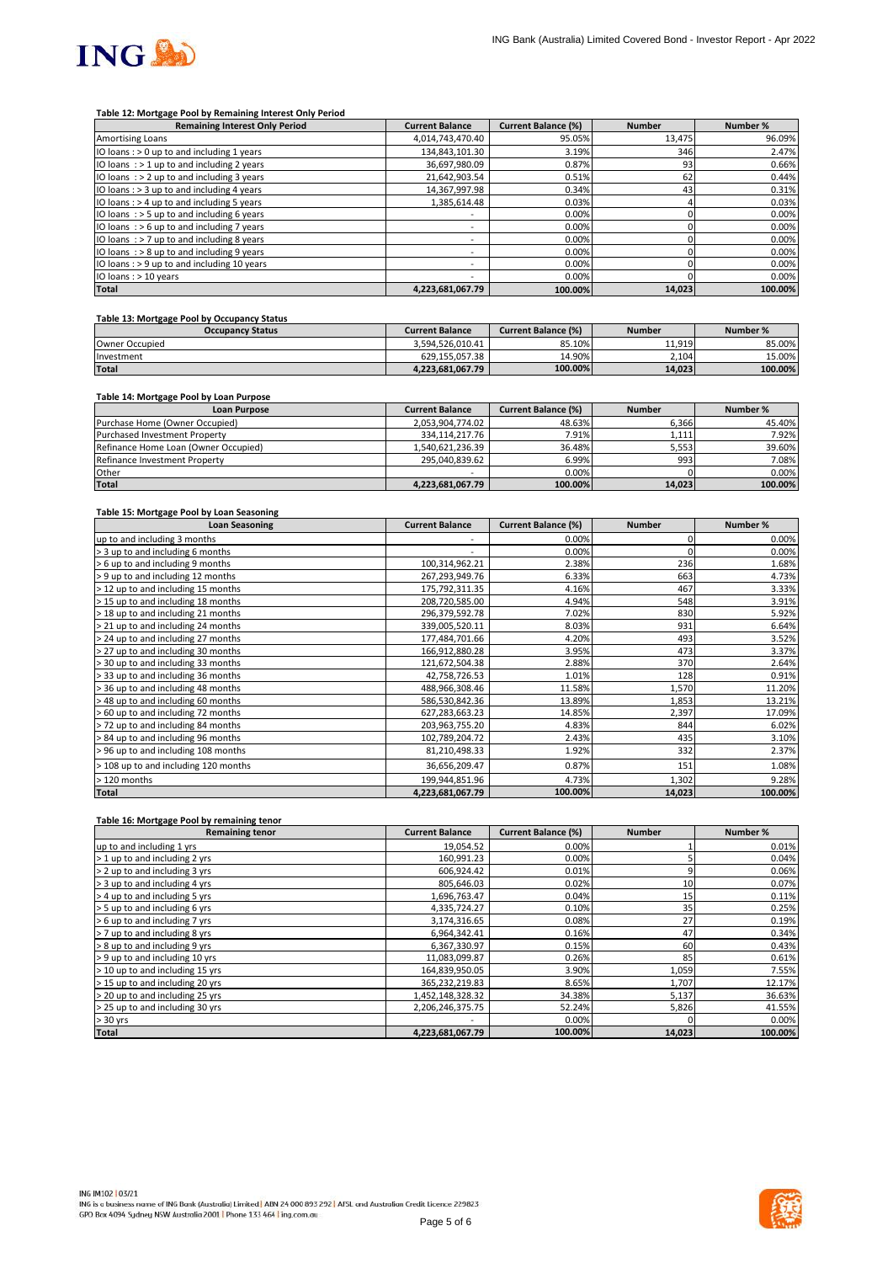

#### **Table 12: Mortgage Pool by Remaining Interest Only Period**

| <b>Remaining Interest Only Period</b>        | <b>Current Balance</b>   | <b>Current Balance (%)</b> | <b>Number</b> | Number % |
|----------------------------------------------|--------------------------|----------------------------|---------------|----------|
| Amortising Loans                             | 4,014,743,470.40         | 95.05%                     | 13,475        | 96.09%   |
| IO loans: > 0 up to and including 1 years    | 134.843.101.30           | 3.19%                      | 346           | 2.47%    |
| IO loans $:$ > 1 up to and including 2 years | 36.697.980.09            | 0.87%                      | 93            | 0.66%    |
| IO loans $:$ > 2 up to and including 3 years | 21,642,903.54            | 0.51%                      | 62            | 0.44%    |
| IO loans : > 3 up to and including 4 years   | 14,367,997.98            | 0.34%                      | 43            | 0.31%    |
| IO loans: > 4 up to and including 5 years    | 1,385,614.48             | 0.03%                      |               | 0.03%    |
| IO loans $:$ > 5 up to and including 6 years | $\overline{\phantom{a}}$ | 0.00%                      |               | 0.00%    |
| IO loans: $> 6$ up to and including 7 years  | $\overline{\phantom{a}}$ | 0.00%                      |               | 0.00%    |
| IO loans $:$ > 7 up to and including 8 years | -                        | 0.00%                      |               | 0.00%    |
| IO loans $:$ > 8 up to and including 9 years | ۰                        | 0.00%                      |               | 0.00%    |
| IO loans: > 9 up to and including 10 years   | $\overline{\phantom{a}}$ | 0.00%                      |               | 0.00%    |
| IO loans : > 10 years                        |                          | 0.00%                      |               | 0.00%    |
| <b>Total</b>                                 | 4,223,681,067.79         | 100.00%                    | 14,023        | 100.00%  |

### **Table 13: Mortgage Pool by Occupancy Status**

| <b>Occupancy Status</b> | <b>Current Balance</b> | <b>Current Balance (%)</b> | <b>Number</b> | Number % |
|-------------------------|------------------------|----------------------------|---------------|----------|
| Owner Occupied          | 3.594.526.010.41       | 85.10%                     | 11.919        | 85.00%   |
| Investment              | 629.155.057.38         | 14.90%                     | 2.104         | 15.00%   |
| <b>Total</b>            | 4.223.681.067.79       | 100.00%                    | 14.023        | 100.00%  |

### **Table 14: Mortgage Pool by Loan Purpose**

| <b>Loan Purpose</b>                  | <b>Current Balance</b> | <b>Current Balance (%)</b> | <b>Number</b> | Number % |
|--------------------------------------|------------------------|----------------------------|---------------|----------|
| Purchase Home (Owner Occupied)       | 2.053.904.774.02       | 48.63%                     | 6,366         | 45.40%   |
| <b>Purchased Investment Property</b> | 334.114.217.76         | 7.91%                      | 1,111         | 7.92%    |
| Refinance Home Loan (Owner Occupied) | 1.540.621.236.39       | 36.48%                     | 5,553         | 39.60%   |
| Refinance Investment Property        | 295.040.839.62         | 6.99%                      | 993           | 7.08%    |
| Other                                | -                      | 0.00%                      |               | 0.00%    |
| <b>Total</b>                         | 4,223,681,067.79       | 100.00%                    | 14,023        | 100.00%  |

#### **Table 15: Mortgage Pool by Loan Seasoning**

| <b>Loan Seasoning</b>                | <b>Current Balance</b> | <b>Current Balance (%)</b> | <b>Number</b> | Number % |
|--------------------------------------|------------------------|----------------------------|---------------|----------|
| up to and including 3 months         |                        | 0.00%                      |               | 0.00%    |
| > 3 up to and including 6 months     | ۰                      | 0.00%                      |               | 0.00%    |
| > 6 up to and including 9 months     | 100,314,962.21         | 2.38%                      | 236           | 1.68%    |
| > 9 up to and including 12 months    | 267,293,949.76         | 6.33%                      | 663           | 4.73%    |
| > 12 up to and including 15 months   | 175,792,311.35         | 4.16%                      | 467           | 3.33%    |
| > 15 up to and including 18 months   | 208,720,585.00         | 4.94%                      | 548           | 3.91%    |
| > 18 up to and including 21 months   | 296,379,592.78         | 7.02%                      | 830           | 5.92%    |
| > 21 up to and including 24 months   | 339,005,520.11         | 8.03%                      | 931           | 6.64%    |
| > 24 up to and including 27 months   | 177,484,701.66         | 4.20%                      | 493           | 3.52%    |
| > 27 up to and including 30 months   | 166,912,880.28         | 3.95%                      | 473           | 3.37%    |
| > 30 up to and including 33 months   | 121,672,504.38         | 2.88%                      | 370           | 2.64%    |
| > 33 up to and including 36 months   | 42,758,726.53          | 1.01%                      | 128           | 0.91%    |
| > 36 up to and including 48 months   | 488,966,308.46         | 11.58%                     | 1,570         | 11.20%   |
| > 48 up to and including 60 months   | 586,530,842.36         | 13.89%                     | 1,853         | 13.21%   |
| > 60 up to and including 72 months   | 627,283,663.23         | 14.85%                     | 2,397         | 17.09%   |
| >72 up to and including 84 months    | 203,963,755.20         | 4.83%                      | 844           | 6.02%    |
| > 84 up to and including 96 months   | 102,789,204.72         | 2.43%                      | 435           | 3.10%    |
| > 96 up to and including 108 months  | 81,210,498.33          | 1.92%                      | 332           | 2.37%    |
| > 108 up to and including 120 months | 36,656,209.47          | 0.87%                      | 151           | 1.08%    |
| > 120 months                         | 199,944,851.96         | 4.73%                      | 1,302         | 9.28%    |
| <b>Total</b>                         | 4,223,681,067.79       | 100.00%                    | 14,023        | 100.00%  |

#### **Table 16: Mortgage Pool by remaining tenor**

| <b>Remaining tenor</b>          | <b>Current Balance</b> | <b>Current Balance (%)</b> | <b>Number</b>   | Number % |
|---------------------------------|------------------------|----------------------------|-----------------|----------|
| up to and including 1 yrs       | 19,054.52              | 0.00%                      |                 | 0.01%    |
| > 1 up to and including 2 yrs   | 160,991.23             | 0.00%                      |                 | 0.04%    |
| > 2 up to and including 3 yrs   | 606,924.42             | 0.01%                      |                 | 0.06%    |
| > 3 up to and including 4 yrs   | 805,646.03             | 0.02%                      | 10 <sup>1</sup> | 0.07%    |
| > 4 up to and including 5 yrs   | 1,696,763.47           | 0.04%                      | 15              | 0.11%    |
| > 5 up to and including 6 yrs   | 4,335,724.27           | 0.10%                      | 35              | 0.25%    |
| > 6 up to and including 7 yrs   | 3,174,316.65           | 0.08%                      | 27              | 0.19%    |
| > 7 up to and including 8 yrs   | 6,964,342.41           | 0.16%                      | 47              | 0.34%    |
| > 8 up to and including 9 yrs   | 6,367,330.97           | 0.15%                      | 60              | 0.43%    |
| > 9 up to and including 10 yrs  | 11,083,099.87          | 0.26%                      | 85              | 0.61%    |
| > 10 up to and including 15 yrs | 164,839,950.05         | 3.90%                      | 1,059           | 7.55%    |
| > 15 up to and including 20 yrs | 365,232,219.83         | 8.65%                      | 1,707           | 12.17%   |
| > 20 up to and including 25 yrs | 1,452,148,328.32       | 34.38%                     | 5,137           | 36.63%   |
| > 25 up to and including 30 yrs | 2,206,246,375.75       | 52.24%                     | 5,826           | 41.55%   |
| $> 30$ yrs                      |                        | 0.00%                      |                 | 0.00%    |
| <b>Total</b>                    | 4,223,681,067.79       | 100.00%                    | 14,023          | 100.00%  |